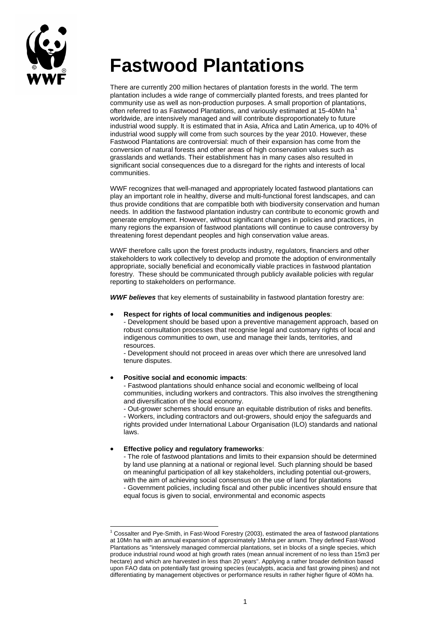

# **Fastwood Plantations**

There are currently 200 million hectares of plantation forests in the world. The term plantation includes a wide range of commercially planted forests, and trees planted for community use as well as non-production purposes. A small proportion of plantations, often referred to as Fastwood Plantations, and variously estimated at [1](#page-0-0)5-40Mn ha<sup>1</sup> worldwide, are intensively managed and will contribute disproportionately to future industrial wood supply. It is estimated that in Asia, Africa and Latin America, up to 40% of industrial wood supply will come from such sources by the year 2010. However, these Fastwood Plantations are controversial: much of their expansion has come from the conversion of natural forests and other areas of high conservation values such as grasslands and wetlands. Their establishment has in many cases also resulted in significant social consequences due to a disregard for the rights and interests of local communities.

WWF recognizes that well-managed and appropriately located fastwood plantations can play an important role in healthy, diverse and multi-functional forest landscapes, and can thus provide conditions that are compatible both with biodiversity conservation and human needs. In addition the fastwood plantation industry can contribute to economic growth and generate employment. However, without significant changes in policies and practices, in many regions the expansion of fastwood plantations will continue to cause controversy by threatening forest dependant peoples and high conservation value areas.

WWF therefore calls upon the forest products industry, regulators, financiers and other stakeholders to work collectively to develop and promote the adoption of environmentally appropriate, socially beneficial and economically viable practices in fastwood plantation forestry. These should be communicated through publicly available policies with regular reporting to stakeholders on performance.

*WWF believes* that key elements of sustainability in fastwood plantation forestry are:

#### • **Respect for rights of local communities and indigenous peoples**:

- Development should be based upon a preventive management approach, based on robust consultation processes that recognise legal and customary rights of local and indigenous communities to own, use and manage their lands, territories, and resources.

- Development should not proceed in areas over which there are unresolved land tenure disputes.

#### • **Positive social and economic impacts**:

- Fastwood plantations should enhance social and economic wellbeing of local communities, including workers and contractors. This also involves the strengthening and diversification of the local economy.

- Out-grower schemes should ensure an equitable distribution of risks and benefits. - Workers, including contractors and out-growers, should enjoy the safeguards and rights provided under International Labour Organisation (ILO) standards and national laws.

### • **Effective policy and regulatory frameworks**:

l

- The role of fastwood plantations and limits to their expansion should be determined by land use planning at a national or regional level. Such planning should be based on meaningful participation of all key stakeholders, including potential out-growers, with the aim of achieving social consensus on the use of land for plantations - Government policies, including fiscal and other public incentives should ensure that equal focus is given to social, environmental and economic aspects

<span id="page-0-0"></span><sup>1</sup> Cossalter and Pye-Smith, in Fast-Wood Forestry (2003), estimated the area of fastwood plantations at 10Mn ha with an annual expansion of approximately 1Mnha per annum. They defined Fast-Wood Plantations as "intensively managed commercial plantations, set in blocks of a single species, which produce industrial round wood at high growth rates (mean annual increment of no less than 15m3 per hectare) and which are harvested in less than 20 years". Applying a rather broader definition based upon FAO data on potentially fast growing species (eucalypts, acacia and fast growing pines) and not differentiating by management objectives or performance results in rather higher figure of 40Mn ha.